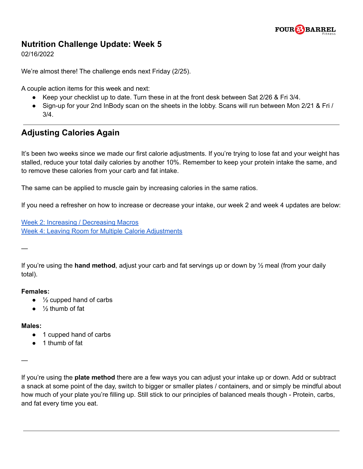

### **Nutrition Challenge Update: Week 5**

02/16/2022

We're almost there! The challenge ends next Friday (2/25).

A couple action items for this week and next:

- Keep your checklist up to date. Turn these in at the front desk between Sat 2/26 & Fri 3/4.
- Sign-up for your 2nd InBody scan on the sheets in the lobby. Scans will run between Mon 2/21 & Fri / 3/4.

# **Adjusting Calories Again**

It's been two weeks since we made our first calorie adjustments. If you're trying to lose fat and your weight has stalled, reduce your total daily calories by another 10%. Remember to keep your protein intake the same, and to remove these calories from your carb and fat intake.

The same can be applied to muscle gain by increasing calories in the same ratios.

If you need a refresher on how to increase or decrease your intake, our week 2 and week 4 updates are below:

Week 2: Increasing / [Decreasing](https://4bfit.com/wp-content/uploads/2022/01/Nutrition-Challenge-2022-Week-2-Update.pdf) Macros Week 4: Leaving Room for Multiple Calorie [Adjustments](https://4bfit.com/wp-content/uploads/2022/02/Nutrition-Challenge-2022-Week-4-Update.pdf)

—

If you're using the **hand method**, adjust your carb and fat servings up or down by ½ meal (from your daily total).

#### **Females:**

- $\bullet$   $\frac{1}{2}$  cupped hand of carbs
- $\bullet$  % thumb of fat

### **Males:**

- 1 cupped hand of carbs
- 1 thumb of fat

—

If you're using the **plate method** there are a few ways you can adjust your intake up or down. Add or subtract a snack at some point of the day, switch to bigger or smaller plates / containers, and or simply be mindful about how much of your plate you're filling up. Still stick to our principles of balanced meals though - Protein, carbs, and fat every time you eat.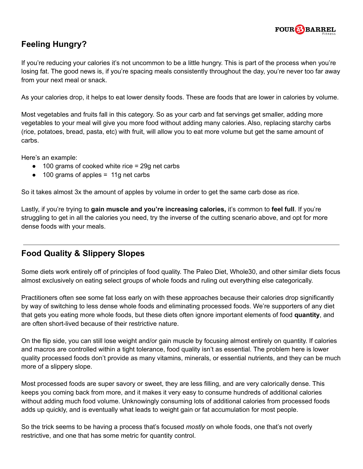

# **Feeling Hungry?**

If you're reducing your calories it's not uncommon to be a little hungry. This is part of the process when you're losing fat. The good news is, if you're spacing meals consistently throughout the day, you're never too far away from your next meal or snack.

As your calories drop, it helps to eat lower density foods. These are foods that are lower in calories by volume.

Most vegetables and fruits fall in this category. So as your carb and fat servings get smaller, adding more vegetables to your meal will give you more food without adding many calories. Also, replacing starchy carbs (rice, potatoes, bread, pasta, etc) with fruit, will allow you to eat more volume but get the same amount of carbs.

Here's an example:

- 100 grams of cooked white rice = 29g net carbs
- 100 grams of apples = 11g net carbs

So it takes almost 3x the amount of apples by volume in order to get the same carb dose as rice.

Lastly, if you're trying to **gain muscle and you're increasing calories,** it's common to **feel full**. If you're struggling to get in all the calories you need, try the inverse of the cutting scenario above, and opt for more dense foods with your meals.

### **Food Quality & Slippery Slopes**

Some diets work entirely off of principles of food quality. The Paleo Diet, Whole30, and other similar diets focus almost exclusively on eating select groups of whole foods and ruling out everything else categorically.

Practitioners often see some fat loss early on with these approaches because their calories drop significantly by way of switching to less dense whole foods and eliminating processed foods. We're supporters of any diet that gets you eating more whole foods, but these diets often ignore important elements of food **quantity**, and are often short-lived because of their restrictive nature.

On the flip side, you can still lose weight and/or gain muscle by focusing almost entirely on quantity. If calories and macros are controlled within a tight tolerance, food quality isn't as essential. The problem here is lower quality processed foods don't provide as many vitamins, minerals, or essential nutrients, and they can be much more of a slippery slope.

Most processed foods are super savory or sweet, they are less filling, and are very calorically dense. This keeps you coming back from more, and it makes it very easy to consume hundreds of additional calories without adding much food volume. Unknowingly consuming lots of additional calories from processed foods adds up quickly, and is eventually what leads to weight gain or fat accumulation for most people.

So the trick seems to be having a process that's focused *mostly* on whole foods, one that's not overly restrictive, and one that has some metric for quantity control.